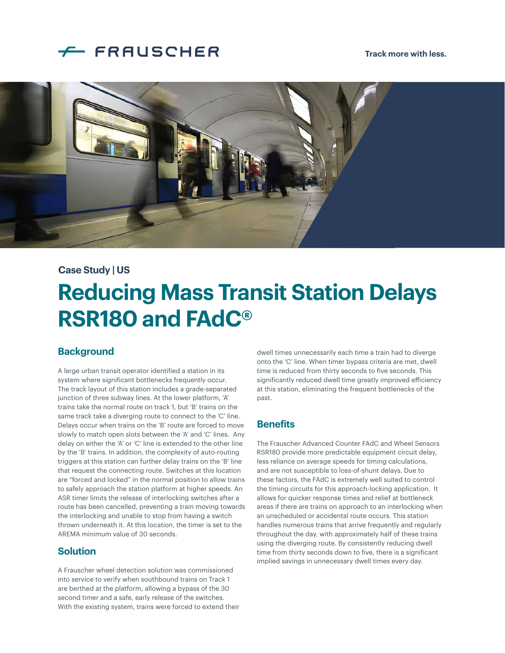# FRAUSCHER

#### **Track more with less.**



#### **Case Study | US**

# **Reducing Mass Transit Station Delays RSR180 and FAdC®**

#### **Background**

A large urban transit operator identified a station in its system where significant bottlenecks frequently occur. The track layout of this station includes a grade-separated junction of three subway lines. At the lower platform, 'A' trains take the normal route on track 1, but 'B' trains on the same track take a diverging route to connect to the 'C' line. Delays occur when trains on the 'B' route are forced to move slowly to match open slots between the 'A' and 'C' lines. Any delay on either the 'A' or 'C' line is extended to the other line by the 'B' trains. In addition, the complexity of auto-routing triggers at this station can further delay trains on the 'B' line that request the connecting route. Switches at this location are "forced and locked" in the normal position to allow trains to safely approach the station platform at higher speeds. An ASR timer limits the release of interlocking switches after a route has been cancelled, preventing a train moving towards the interlocking and unable to stop from having a switch thrown underneath it. At this location, the timer is set to the AREMA minimum value of 30 seconds.

#### **Solution**

A Frauscher wheel detection solution was commissioned into service to verify when southbound trains on Track 1 are berthed at the platform, allowing a bypass of the 30 second timer and a safe, early release of the switches. With the existing system, trains were forced to extend their dwell times unnecessarily each time a train had to diverge onto the 'C' line. When timer bypass criteria are met, dwell time is reduced from thirty seconds to five seconds. This significantly reduced dwell time greatly improved efficiency at this station, eliminating the frequent bottlenecks of the past.

#### **Benefits**

The Frauscher Advanced Counter FAdC and Wheel Sensors RSR180 provide more predictable equipment circuit delay, less reliance on average speeds for timing calculations, and are not susceptible to loss-of-shunt delays. Due to these factors, the FAdC is extremely well suited to control the timing circuits for this approach-locking application. It allows for quicker response times and relief at bottleneck areas if there are trains on approach to an interlocking when an unscheduled or accidental route occurs. This station handles numerous trains that arrive frequently and regularly throughout the day, with approximately half of these trains using the diverging route. By consistently reducing dwell time from thirty seconds down to five, there is a significant implied savings in unnecessary dwell times every day.